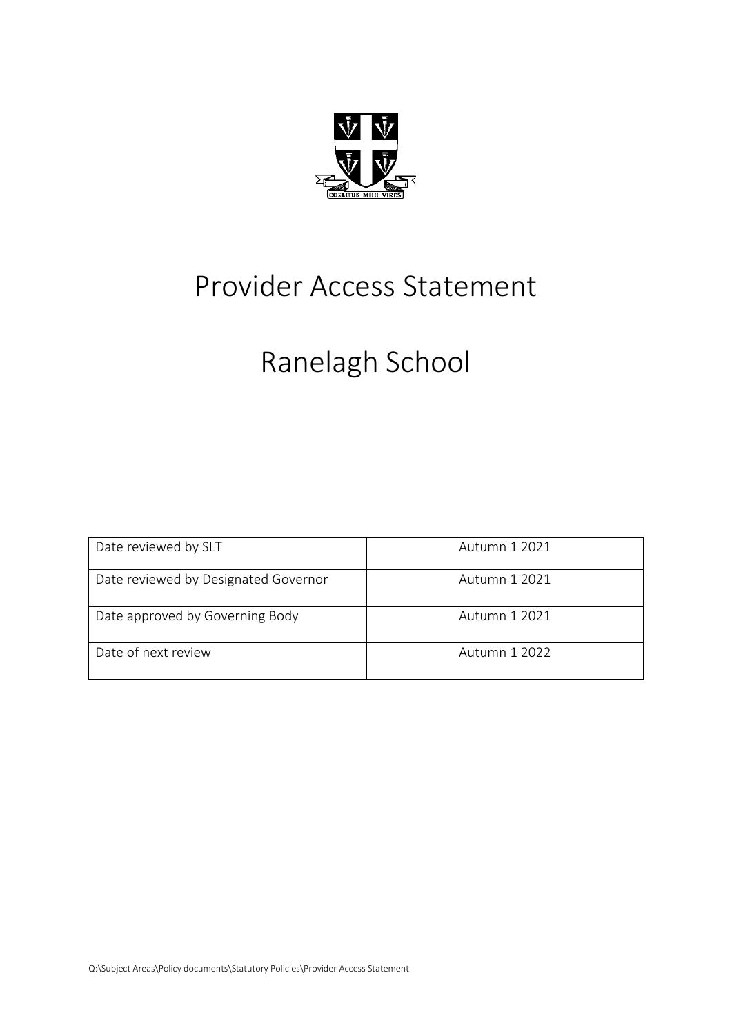

## Provider Access Statement

# Ranelagh School

| Date reviewed by SLT                 | Autumn 1 2021 |
|--------------------------------------|---------------|
| Date reviewed by Designated Governor | Autumn 1 2021 |
| Date approved by Governing Body      | Autumn 1 2021 |
| Date of next review                  | Autumn 1 2022 |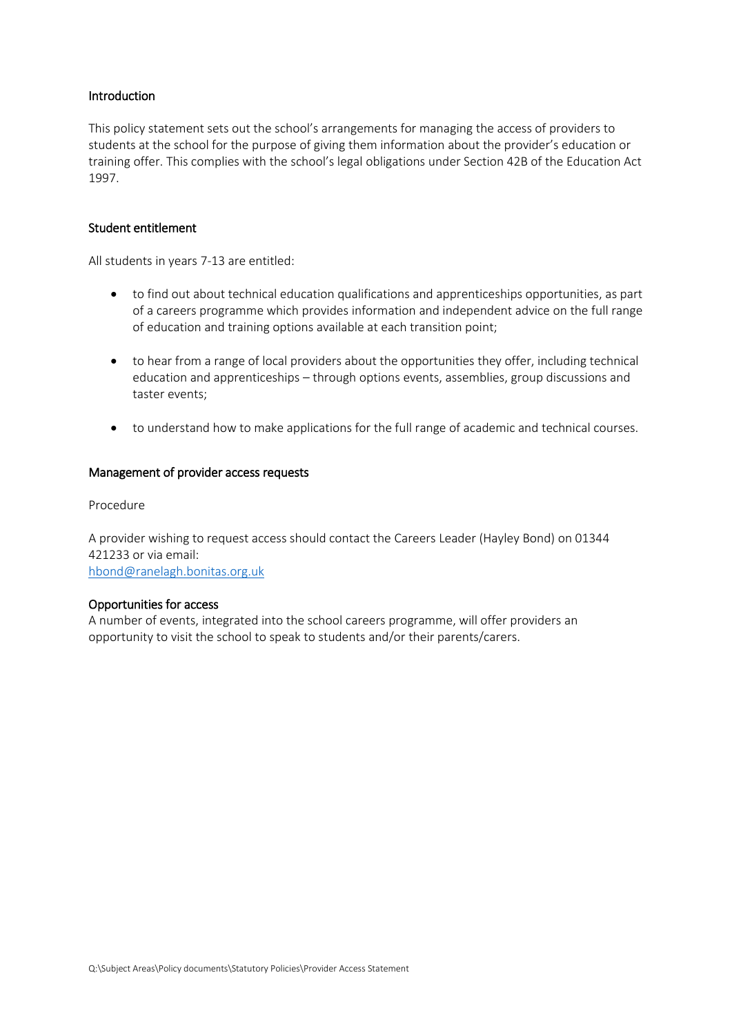## Introduction

This policy statement sets out the school's arrangements for managing the access of providers to students at the school for the purpose of giving them information about the provider's education or training offer. This complies with the school's legal obligations under Section 42B of the Education Act 1997.

## Student entitlement

All students in years 7-13 are entitled:

- to find out about technical education qualifications and apprenticeships opportunities, as part of a careers programme which provides information and independent advice on the full range of education and training options available at each transition point;
- to hear from a range of local providers about the opportunities they offer, including technical education and apprenticeships – through options events, assemblies, group discussions and taster events;
- to understand how to make applications for the full range of academic and technical courses.

## Management of provider access requests

Procedure

A provider wishing to request access should contact the Careers Leader (Hayley Bond) on 01344 421233 or via email: [hbond@ranelagh.bonitas.org.uk](mailto:hbond@ranelagh.bonitas.org.uk)

## Opportunities for access

A number of events, integrated into the school careers programme, will offer providers an opportunity to visit the school to speak to students and/or their parents/carers.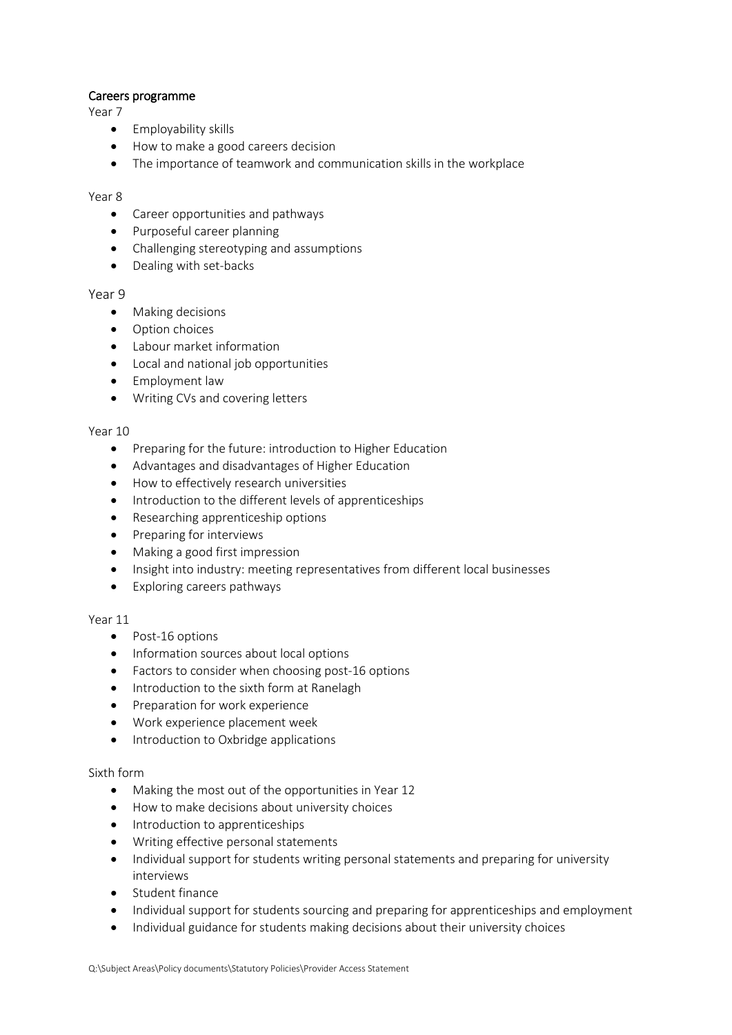## Careers programme

Year 7

- Employability skills
- How to make a good careers decision
- The importance of teamwork and communication skills in the workplace

#### Year 8

- Career opportunities and pathways
- Purposeful career planning
- Challenging stereotyping and assumptions
- Dealing with set-backs

#### Year 9

- Making decisions
- Option choices
- Labour market information
- Local and national job opportunities
- Employment law
- Writing CVs and covering letters

#### Year 10

- Preparing for the future: introduction to Higher Education
- Advantages and disadvantages of Higher Education
- How to effectively research universities
- Introduction to the different levels of apprenticeships
- Researching apprenticeship options
- Preparing for interviews
- Making a good first impression
- Insight into industry: meeting representatives from different local businesses
- Exploring careers pathways

## Year 11

- Post-16 options
- Information sources about local options
- Factors to consider when choosing post-16 options
- Introduction to the sixth form at Ranelagh
- Preparation for work experience
- Work experience placement week
- Introduction to Oxbridge applications

## Sixth form

- Making the most out of the opportunities in Year 12
- How to make decisions about university choices
- Introduction to apprenticeships
- Writing effective personal statements
- Individual support for students writing personal statements and preparing for university interviews
- Student finance
- Individual support for students sourcing and preparing for apprenticeships and employment
- Individual guidance for students making decisions about their university choices